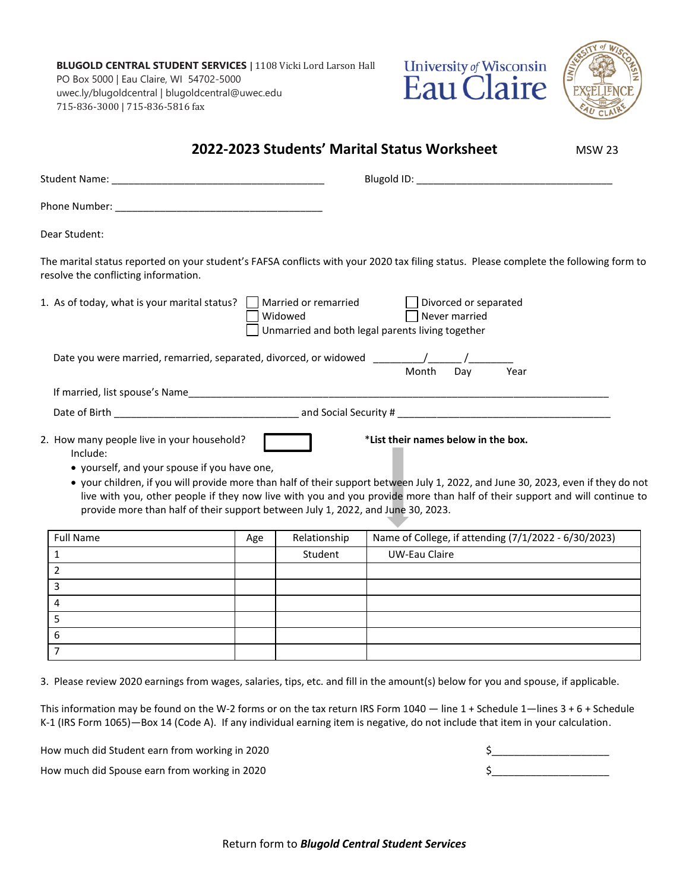**BLUGOLD CENTRAL STUDENT SERVICES |** 1108 Vicki Lord Larson Hall PO Box 5000 | Eau Claire, WI 54702-5000 uwec.ly/blugoldcentral | blugoldcentral@uwec.edu 715-836-3000 | 715-836-5816 fax





| Dear Student:                                                                           |     |              |                                                                                                                                                                                                                                                                 |  |
|-----------------------------------------------------------------------------------------|-----|--------------|-----------------------------------------------------------------------------------------------------------------------------------------------------------------------------------------------------------------------------------------------------------------|--|
| resolve the conflicting information.                                                    |     |              | The marital status reported on your student's FAFSA conflicts with your 2020 tax filing status. Please complete the following form to                                                                                                                           |  |
| 1. As of today, what is your marital status? Married or remarried                       |     | Widowed      | Divorced or separated<br>$\mathbf{1}$<br>Never married<br>Unmarried and both legal parents living together                                                                                                                                                      |  |
| Date you were married, remarried, separated, divorced, or widowed ________/_____/______ |     |              |                                                                                                                                                                                                                                                                 |  |
|                                                                                         |     |              | Month<br>Day<br>Year                                                                                                                                                                                                                                            |  |
|                                                                                         |     |              |                                                                                                                                                                                                                                                                 |  |
| Include:<br>• yourself, and your spouse if you have one,                                |     |              | *List their names below in the box.                                                                                                                                                                                                                             |  |
| provide more than half of their support between July 1, 2022, and June 30, 2023.        |     |              | • your children, if you will provide more than half of their support between July 1, 2022, and June 30, 2023, even if they do not<br>live with you, other people if they now live with you and you provide more than half of their support and will continue to |  |
| <b>Full Name</b>                                                                        | Age | Relationship | Name of College, if attending (7/1/2022 - 6/30/2023)                                                                                                                                                                                                            |  |
| $\mathbf{1}$                                                                            |     | Student      | <b>UW-Eau Claire</b>                                                                                                                                                                                                                                            |  |
| $\overline{2}$                                                                          |     |              |                                                                                                                                                                                                                                                                 |  |
| 3                                                                                       |     |              |                                                                                                                                                                                                                                                                 |  |
| 4                                                                                       |     |              |                                                                                                                                                                                                                                                                 |  |
| 5                                                                                       |     |              |                                                                                                                                                                                                                                                                 |  |
| 2. How many people live in your household?<br>6                                         |     |              |                                                                                                                                                                                                                                                                 |  |

How much did Student earn from working in 2020 **\$** 

How much did Spouse earn from working in 2020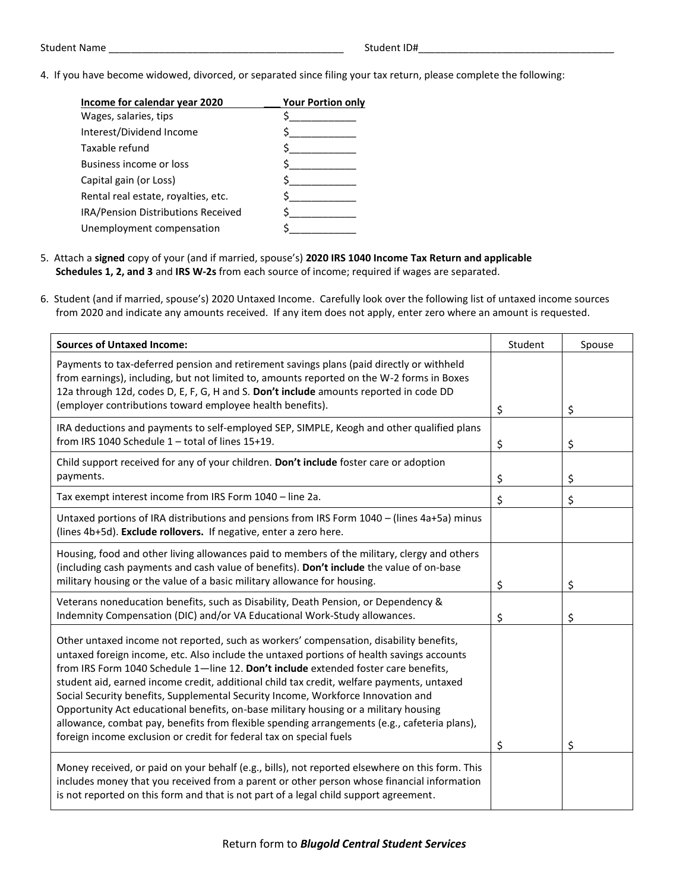4. If you have become widowed, divorced, or separated since filing your tax return, please complete the following:

| <b>Your Portion only</b> |
|--------------------------|
|                          |
|                          |
|                          |
|                          |
|                          |
|                          |
|                          |
|                          |
|                          |

- 5. Attach a **signed** copy of your (and if married, spouse's) **2020 IRS 1040 Income Tax Return and applicable Schedules 1, 2, and 3** and **IRS W-2s** from each source of income; required if wages are separated.
- 6. Student (and if married, spouse's) 2020 Untaxed Income. Carefully look over the following list of untaxed income sources from 2020 and indicate any amounts received. If any item does not apply, enter zero where an amount is requested.

| <b>Sources of Untaxed Income:</b>                                                                                                                                                                                                                                                                                                                                                                                                                                                                                                                                                                                                                                                                                          | Student | Spouse |
|----------------------------------------------------------------------------------------------------------------------------------------------------------------------------------------------------------------------------------------------------------------------------------------------------------------------------------------------------------------------------------------------------------------------------------------------------------------------------------------------------------------------------------------------------------------------------------------------------------------------------------------------------------------------------------------------------------------------------|---------|--------|
| Payments to tax-deferred pension and retirement savings plans (paid directly or withheld<br>from earnings), including, but not limited to, amounts reported on the W-2 forms in Boxes<br>12a through 12d, codes D, E, F, G, H and S. Don't include amounts reported in code DD<br>(employer contributions toward employee health benefits).                                                                                                                                                                                                                                                                                                                                                                                | \$      | \$     |
| IRA deductions and payments to self-employed SEP, SIMPLE, Keogh and other qualified plans<br>from IRS 1040 Schedule 1 - total of lines 15+19.                                                                                                                                                                                                                                                                                                                                                                                                                                                                                                                                                                              | \$      | \$     |
| Child support received for any of your children. Don't include foster care or adoption<br>payments.                                                                                                                                                                                                                                                                                                                                                                                                                                                                                                                                                                                                                        | \$      | \$     |
| Tax exempt interest income from IRS Form 1040 - line 2a.                                                                                                                                                                                                                                                                                                                                                                                                                                                                                                                                                                                                                                                                   | \$      | \$     |
| Untaxed portions of IRA distributions and pensions from IRS Form 1040 - (lines 4a+5a) minus<br>(lines 4b+5d). Exclude rollovers. If negative, enter a zero here.                                                                                                                                                                                                                                                                                                                                                                                                                                                                                                                                                           |         |        |
| Housing, food and other living allowances paid to members of the military, clergy and others<br>(including cash payments and cash value of benefits). Don't include the value of on-base<br>military housing or the value of a basic military allowance for housing.                                                                                                                                                                                                                                                                                                                                                                                                                                                       | \$      | \$     |
| Veterans noneducation benefits, such as Disability, Death Pension, or Dependency &<br>Indemnity Compensation (DIC) and/or VA Educational Work-Study allowances.                                                                                                                                                                                                                                                                                                                                                                                                                                                                                                                                                            | \$      | \$     |
| Other untaxed income not reported, such as workers' compensation, disability benefits,<br>untaxed foreign income, etc. Also include the untaxed portions of health savings accounts<br>from IRS Form 1040 Schedule 1-line 12. Don't include extended foster care benefits,<br>student aid, earned income credit, additional child tax credit, welfare payments, untaxed<br>Social Security benefits, Supplemental Security Income, Workforce Innovation and<br>Opportunity Act educational benefits, on-base military housing or a military housing<br>allowance, combat pay, benefits from flexible spending arrangements (e.g., cafeteria plans),<br>foreign income exclusion or credit for federal tax on special fuels | \$      | \$     |
| Money received, or paid on your behalf (e.g., bills), not reported elsewhere on this form. This<br>includes money that you received from a parent or other person whose financial information<br>is not reported on this form and that is not part of a legal child support agreement.                                                                                                                                                                                                                                                                                                                                                                                                                                     |         |        |